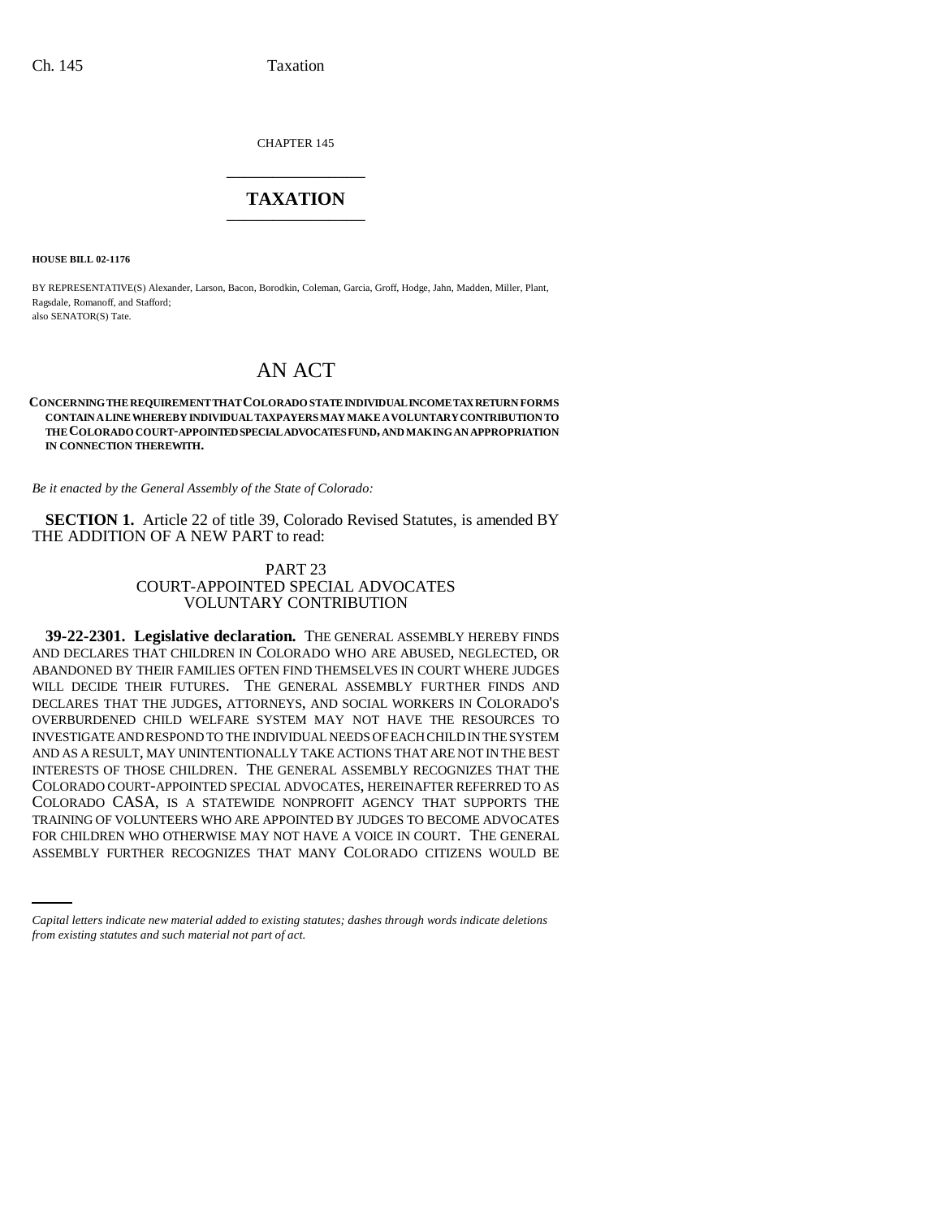CHAPTER 145 \_\_\_\_\_\_\_\_\_\_\_\_\_\_\_

### **TAXATION** \_\_\_\_\_\_\_\_\_\_\_\_\_\_\_

**HOUSE BILL 02-1176**

BY REPRESENTATIVE(S) Alexander, Larson, Bacon, Borodkin, Coleman, Garcia, Groff, Hodge, Jahn, Madden, Miller, Plant, Ragsdale, Romanoff, and Stafford; also SENATOR(S) Tate.

# AN ACT

#### **CONCERNING THE REQUIREMENT THAT COLORADO STATE INDIVIDUAL INCOME TAX RETURN FORMS CONTAIN A LINE WHEREBY INDIVIDUAL TAXPAYERS MAY MAKE A VOLUNTARY CONTRIBUTION TO THE COLORADO COURT-APPOINTED SPECIAL ADVOCATES FUND, AND MAKING AN APPROPRIATION IN CONNECTION THEREWITH.**

*Be it enacted by the General Assembly of the State of Colorado:*

**SECTION 1.** Article 22 of title 39, Colorado Revised Statutes, is amended BY THE ADDITION OF A NEW PART to read:

#### PART 23 COURT-APPOINTED SPECIAL ADVOCATES VOLUNTARY CONTRIBUTION

TRAINING OF VOLUNTEERS WHO ARE APPOINTED BY JUDGES TO BECOME ADVOCATES **39-22-2301. Legislative declaration.** THE GENERAL ASSEMBLY HEREBY FINDS AND DECLARES THAT CHILDREN IN COLORADO WHO ARE ABUSED, NEGLECTED, OR ABANDONED BY THEIR FAMILIES OFTEN FIND THEMSELVES IN COURT WHERE JUDGES WILL DECIDE THEIR FUTURES. THE GENERAL ASSEMBLY FURTHER FINDS AND DECLARES THAT THE JUDGES, ATTORNEYS, AND SOCIAL WORKERS IN COLORADO'S OVERBURDENED CHILD WELFARE SYSTEM MAY NOT HAVE THE RESOURCES TO INVESTIGATE AND RESPOND TO THE INDIVIDUAL NEEDS OF EACH CHILD IN THE SYSTEM AND AS A RESULT, MAY UNINTENTIONALLY TAKE ACTIONS THAT ARE NOT IN THE BEST INTERESTS OF THOSE CHILDREN. THE GENERAL ASSEMBLY RECOGNIZES THAT THE COLORADO COURT-APPOINTED SPECIAL ADVOCATES, HEREINAFTER REFERRED TO AS COLORADO CASA, IS A STATEWIDE NONPROFIT AGENCY THAT SUPPORTS THE FOR CHILDREN WHO OTHERWISE MAY NOT HAVE A VOICE IN COURT. THE GENERAL ASSEMBLY FURTHER RECOGNIZES THAT MANY COLORADO CITIZENS WOULD BE

*Capital letters indicate new material added to existing statutes; dashes through words indicate deletions from existing statutes and such material not part of act.*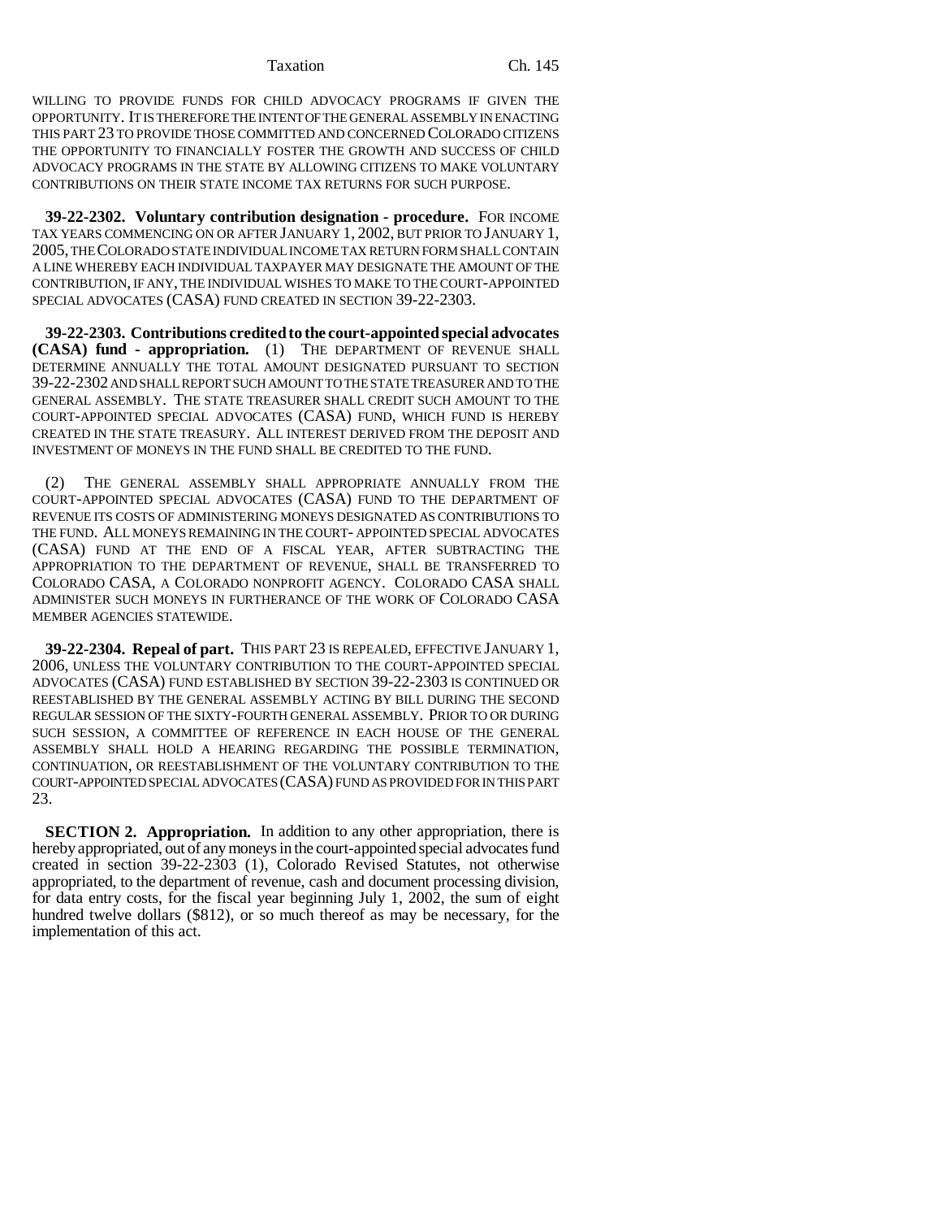WILLING TO PROVIDE FUNDS FOR CHILD ADVOCACY PROGRAMS IF GIVEN THE OPPORTUNITY. IT IS THEREFORE THE INTENT OF THE GENERAL ASSEMBLY IN ENACTING THIS PART 23 TO PROVIDE THOSE COMMITTED AND CONCERNED COLORADO CITIZENS THE OPPORTUNITY TO FINANCIALLY FOSTER THE GROWTH AND SUCCESS OF CHILD ADVOCACY PROGRAMS IN THE STATE BY ALLOWING CITIZENS TO MAKE VOLUNTARY CONTRIBUTIONS ON THEIR STATE INCOME TAX RETURNS FOR SUCH PURPOSE.

**39-22-2302. Voluntary contribution designation - procedure.** FOR INCOME TAX YEARS COMMENCING ON OR AFTER JANUARY 1, 2002, BUT PRIOR TO JANUARY 1, 2005, THE COLORADO STATE INDIVIDUAL INCOME TAX RETURN FORM SHALL CONTAIN A LINE WHEREBY EACH INDIVIDUAL TAXPAYER MAY DESIGNATE THE AMOUNT OF THE CONTRIBUTION, IF ANY, THE INDIVIDUAL WISHES TO MAKE TO THE COURT-APPOINTED SPECIAL ADVOCATES (CASA) FUND CREATED IN SECTION 39-22-2303.

**39-22-2303. Contributions credited to the court-appointed special advocates (CASA) fund - appropriation.** (1) THE DEPARTMENT OF REVENUE SHALL DETERMINE ANNUALLY THE TOTAL AMOUNT DESIGNATED PURSUANT TO SECTION 39-22-2302 AND SHALL REPORT SUCH AMOUNT TO THE STATE TREASURER AND TO THE GENERAL ASSEMBLY. THE STATE TREASURER SHALL CREDIT SUCH AMOUNT TO THE COURT-APPOINTED SPECIAL ADVOCATES (CASA) FUND, WHICH FUND IS HEREBY CREATED IN THE STATE TREASURY. ALL INTEREST DERIVED FROM THE DEPOSIT AND INVESTMENT OF MONEYS IN THE FUND SHALL BE CREDITED TO THE FUND.

THE GENERAL ASSEMBLY SHALL APPROPRIATE ANNUALLY FROM THE COURT-APPOINTED SPECIAL ADVOCATES (CASA) FUND TO THE DEPARTMENT OF REVENUE ITS COSTS OF ADMINISTERING MONEYS DESIGNATED AS CONTRIBUTIONS TO THE FUND. ALL MONEYS REMAINING IN THE COURT- APPOINTED SPECIAL ADVOCATES (CASA) FUND AT THE END OF A FISCAL YEAR, AFTER SUBTRACTING THE APPROPRIATION TO THE DEPARTMENT OF REVENUE, SHALL BE TRANSFERRED TO COLORADO CASA, A COLORADO NONPROFIT AGENCY. COLORADO CASA SHALL ADMINISTER SUCH MONEYS IN FURTHERANCE OF THE WORK OF COLORADO CASA MEMBER AGENCIES STATEWIDE.

**39-22-2304. Repeal of part.** THIS PART 23 IS REPEALED, EFFECTIVE JANUARY 1, 2006, UNLESS THE VOLUNTARY CONTRIBUTION TO THE COURT-APPOINTED SPECIAL ADVOCATES (CASA) FUND ESTABLISHED BY SECTION 39-22-2303 IS CONTINUED OR REESTABLISHED BY THE GENERAL ASSEMBLY ACTING BY BILL DURING THE SECOND REGULAR SESSION OF THE SIXTY-FOURTH GENERAL ASSEMBLY. PRIOR TO OR DURING SUCH SESSION, A COMMITTEE OF REFERENCE IN EACH HOUSE OF THE GENERAL ASSEMBLY SHALL HOLD A HEARING REGARDING THE POSSIBLE TERMINATION, CONTINUATION, OR REESTABLISHMENT OF THE VOLUNTARY CONTRIBUTION TO THE COURT-APPOINTED SPECIAL ADVOCATES (CASA) FUND AS PROVIDED FOR IN THIS PART 23.

**SECTION 2. Appropriation.** In addition to any other appropriation, there is hereby appropriated, out of any moneys in the court-appointed special advocates fund created in section 39-22-2303 (1), Colorado Revised Statutes, not otherwise appropriated, to the department of revenue, cash and document processing division, for data entry costs, for the fiscal year beginning July 1, 2002, the sum of eight hundred twelve dollars (\$812), or so much thereof as may be necessary, for the implementation of this act.